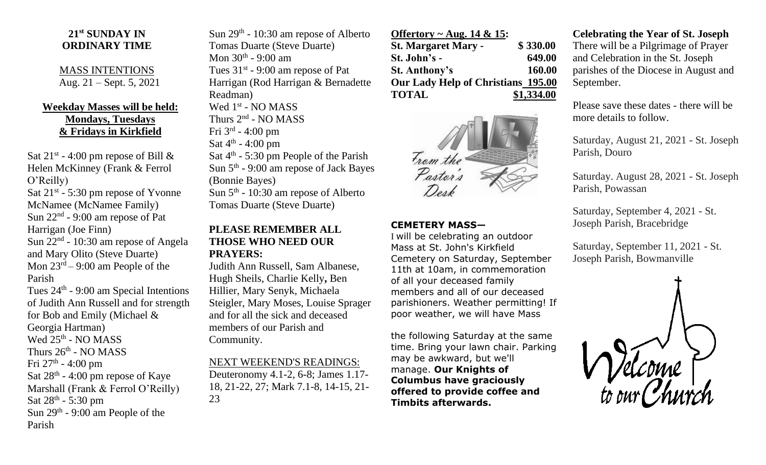## **21st SUNDAY IN ORDINARY TIME**

MASS INTENTIONS Aug. 21 – Sept. 5, 2021

# **Weekday Masses will be held: Mondays, Tuesdays & Fridays in Kirkfield**

Sat  $21^{st}$  - 4:00 pm repose of Bill & Helen McKinney (Frank & Ferrol O'Reilly) Sat 21<sup>st</sup> - 5:30 pm repose of Yvonne McNamee (McNamee Family) Sun  $22<sup>nd</sup>$  - 9:00 am repose of Pat Harrigan (Joe Finn) Sun 22<sup>nd</sup> - 10:30 am repose of Angela and Mary Olito (Steve Duarte) Mon  $23<sup>rd</sup> - 9:00$  am People of the Parish Tues  $24<sup>th</sup>$  - 9:00 am Special Intentions of Judith Ann Russell and for strength for Bob and Emily (Michael & Georgia Hartman) Wed  $25^{\text{th}}$  - NO MASS Thurs  $26^{\text{th}}$  - NO MASS Fri 27<sup>th</sup> - 4:00 pm Sat  $28<sup>th</sup> - 4:00$  pm repose of Kaye Marshall (Frank & Ferrol O'Reilly) Sat  $28^{\text{th}}$  - 5:30 pm Sun  $29<sup>th</sup>$  - 9:00 am People of the Parish

Sun  $29<sup>th</sup>$  - 10:30 am repose of Alberto Tomas Duarte (Steve Duarte) Mon 30<sup>th</sup> - 9:00 am Tues  $31<sup>st</sup> - 9:00$  am repose of Pat Harrigan (Rod Harrigan & Bernadette Readman) Wed 1<sup>st</sup> - NO MASS Thurs 2<sup>nd</sup> - NO MASS Fri 3rd - 4:00 pm Sat  $4^{\text{th}}$  - 4:00 pm Sat 4<sup>th</sup> - 5:30 pm People of the Parish Sun 5<sup>th</sup> - 9:00 am repose of Jack Bayes (Bonnie Bayes) Sun  $5<sup>th</sup>$  - 10:30 am repose of Alberto Tomas Duarte (Steve Duarte)

### **PLEASE REMEMBER ALL THOSE WHO NEED OUR PRAYERS:**

Judith Ann Russell, Sam Albanese, Hugh Sheils, Charlie Kelly**,** Ben Hillier, Mary Senyk, Michaela Steigler, Mary Moses, Louise Sprager and for all the sick and deceased members of our Parish and Community.

#### NEXT WEEKEND'S READINGS:

Deuteronomy 4.1-2, 6-8; James 1.17- 18, 21-22, 27; Mark 7.1-8, 14-15, 21- 23

### **Offertory ~ Aug. 14 & 15: St. Margaret Mary - \$ 330.00 St. John's - 649.00 St. Anthony's 160.00 Our Lady Help of Christians 195.00 TOTAL \$1,334.00**



## **CEMETERY MASS—**

I will be celebrating an outdoor Mass at St. John's Kirkfield Cemetery on Saturday, September 11th at 10am, in commemoration of all your deceased family members and all of our deceased parishioners. Weather permitting! If poor weather, we will have Mass

the following Saturday at the same time. Bring your lawn chair. Parking may be awkward, but we'll manage. **Our Knights of Columbus have graciously offered to provide coffee and Timbits afterwards.**

### **Celebrating the Year of St. Joseph**

There will be a Pilgrimage of Prayer and Celebration in the St. Joseph parishes of the Diocese in August and September.

Please save these dates - there will be more details to follow.

Saturday, August 21, 2021 - St. Joseph Parish, Douro

Saturday. August 28, 2021 - St. Joseph Parish, Powassan

Saturday, September 4, 2021 - St. Joseph Parish, Bracebridge

Saturday, September 11, 2021 - St. Joseph Parish, Bowmanville